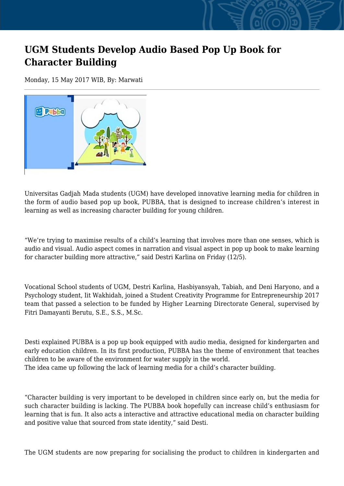## **UGM Students Develop Audio Based Pop Up Book for Character Building**

Monday, 15 May 2017 WIB, By: Marwati



Universitas Gadjah Mada students (UGM) have developed innovative learning media for children in the form of audio based pop up book, PUBBA, that is designed to increase children's interest in learning as well as increasing character building for young children.

"We're trying to maximise results of a child's learning that involves more than one senses, which is audio and visual. Audio aspect comes in narration and visual aspect in pop up book to make learning for character building more attractive," said Destri Karlina on Friday (12/5).

Vocational School students of UGM, Destri Karlina, Hasbiyansyah, Tabiah, and Deni Haryono, and a Psychology student, Iit Wakhidah, joined a Student Creativity Programme for Entrepreneurship 2017 team that passed a selection to be funded by Higher Learning Directorate General, supervised by Fitri Damayanti Berutu, S.E., S.S., M.Sc.

Desti explained PUBBA is a pop up book equipped with audio media, designed for kindergarten and early education children. In its first production, PUBBA has the theme of environment that teaches children to be aware of the environment for water supply in the world. The idea came up following the lack of learning media for a child's character building.

"Character building is very important to be developed in children since early on, but the media for such character building is lacking. The PUBBA book hopefully can increase child's enthusiasm for learning that is fun. It also acts a interactive and attractive educational media on character building and positive value that sourced from state identity," said Desti.

The UGM students are now preparing for socialising the product to children in kindergarten and